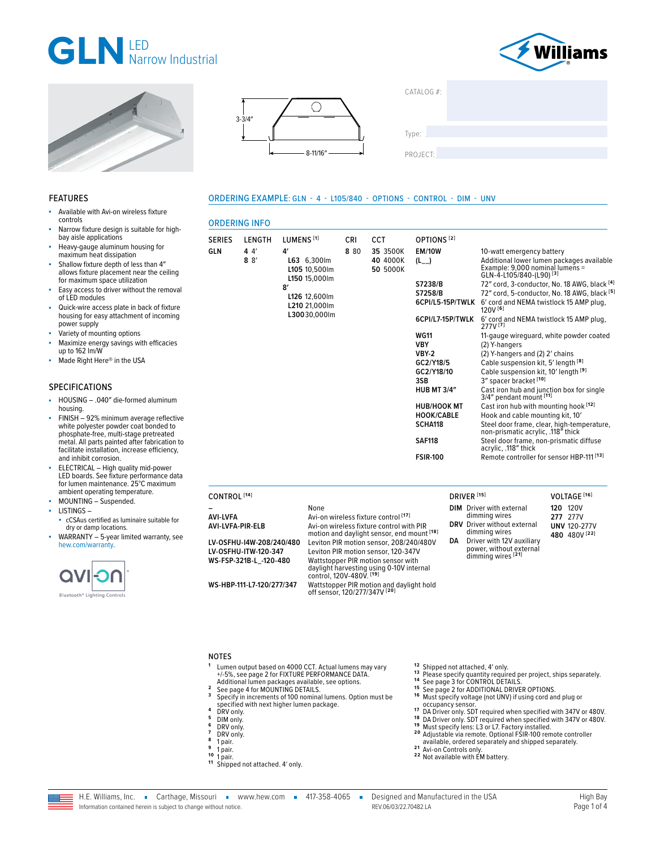





■ Available with Avi-on wireless fixture

FEATURES

controls





#### ORDERING EXAMPLE: GLN - 4 - L105/840 - OPTIONS - CONTROL - DIM - UNV

| <b>CONTROIS</b>                                                                                                                                                                                                                                              |                                     | <b>ORDERING INFO</b>                    |                                                                              |                    |                                                                                  |                                                  |                                                                                                     |                                              |
|--------------------------------------------------------------------------------------------------------------------------------------------------------------------------------------------------------------------------------------------------------------|-------------------------------------|-----------------------------------------|------------------------------------------------------------------------------|--------------------|----------------------------------------------------------------------------------|--------------------------------------------------|-----------------------------------------------------------------------------------------------------|----------------------------------------------|
| Narrow fixture design is suitable for high-<br>bay aisle applications<br>Heavy-gauge aluminum housing for<br>maximum heat dissipation<br>Shallow fixture depth of less than 4"<br>allows fixture placement near the ceiling<br>for maximum space utilization | <b>SERIES</b><br><b>GLN</b>         | <b>LENGTH</b><br>44'<br>$8 \frac{8}{ }$ | LUMENS <sup>[1]</sup><br>4′<br>L63 6,300lm<br>L105 10,500lm<br>L150 15.000lm | <b>CRI</b><br>8 80 | <b>CCT</b><br>35 3500K<br>40 4000K<br>50 5000K                                   | OPTIONS <sup>[2]</sup><br><b>EM/10W</b><br>$(L_$ | 10-watt emergency battery<br>Example: 9,000 nominal lumens =<br>GLN-4-L105/840-(L90) <sup>[3]</sup> | Additional lower lumen packages available    |
| Easy access to driver without the removal                                                                                                                                                                                                                    |                                     |                                         | 8'                                                                           |                    |                                                                                  | S7238/B                                          |                                                                                                     | 72" cord, 3-conductor, No. 18 AWG, black [4] |
| of LED modules                                                                                                                                                                                                                                               |                                     |                                         | L126 12,600lm<br>L210 21.000lm                                               |                    |                                                                                  | S7258/B<br>6CPI/L5-15P/TWLK                      | 6' cord and NEMA twistlock 15 AMP plug,                                                             | 72" cord, 5-conductor, No. 18 AWG, black [5] |
| Quick-wire access plate in back of fixture<br>housing for easy attachment of incoming<br>power supply                                                                                                                                                        |                                     |                                         | L30030,000lm                                                                 |                    |                                                                                  | 6CPI/L7-15P/TWLK                                 | 120V <sup>[6]</sup><br>277V[7]                                                                      | 6' cord and NEMA twistlock 15 AMP plug,      |
| Variety of mounting options                                                                                                                                                                                                                                  |                                     |                                         |                                                                              |                    |                                                                                  | <b>WG11</b>                                      |                                                                                                     | 11-gauge wireguard, white powder coated      |
| Maximize energy savings with efficacies<br>up to 162 lm/W                                                                                                                                                                                                    |                                     |                                         |                                                                              |                    |                                                                                  | <b>VBY</b>                                       | (2) Y-hangers                                                                                       |                                              |
| Made Right Here® in the USA                                                                                                                                                                                                                                  |                                     |                                         |                                                                              |                    |                                                                                  | <b>VBY-2</b>                                     | (2) Y-hangers and (2) 2' chains                                                                     |                                              |
|                                                                                                                                                                                                                                                              |                                     |                                         |                                                                              |                    |                                                                                  | GC2/Y18/5                                        | Cable suspension kit, 5' length [8]                                                                 |                                              |
|                                                                                                                                                                                                                                                              |                                     |                                         |                                                                              |                    |                                                                                  | GC2/Y18/10                                       | Cable suspension kit, 10' length [9]                                                                |                                              |
| SPECIFICATIONS<br>HOUSING - .040" die-formed aluminum                                                                                                                                                                                                        |                                     |                                         |                                                                              |                    |                                                                                  | 3SB<br><b>HUB MT 3/4"</b>                        | 3" spacer bracket [10]<br>Cast iron hub and junction box for single<br>3/4" pendant mount [11]      |                                              |
| housing.                                                                                                                                                                                                                                                     |                                     |                                         |                                                                              |                    |                                                                                  | <b>HUB/HOOK MT</b><br><b>HOOK/CABLE</b>          | Cast iron hub with mounting hook [12]<br>Hook and cable mounting kit, 10'                           |                                              |
| FINISH - 92% minimum average reflective<br>white polyester powder coat bonded to<br>phosphate-free, multi-stage pretreated                                                                                                                                   |                                     |                                         |                                                                              |                    |                                                                                  | SCHA118                                          | non-prismatic acrylic, .118" thick                                                                  | Steel door frame, clear, high-temperature,   |
| metal. All parts painted after fabrication to<br>facilitate installation, increase efficiency,                                                                                                                                                               |                                     |                                         |                                                                              |                    |                                                                                  | <b>SAF118</b>                                    | Steel door frame, non-prismatic diffuse<br>acrylic, .118" thick                                     |                                              |
| and inhibit corrosion.                                                                                                                                                                                                                                       |                                     |                                         |                                                                              |                    |                                                                                  | <b>FSIR-100</b>                                  | Remote controller for sensor HBP-111 <sup>[13]</sup>                                                |                                              |
| ELECTRICAL - High quality mid-power<br>LED boards. See fixture performance data<br>for lumen maintenance, 25°C maximum                                                                                                                                       |                                     |                                         |                                                                              |                    |                                                                                  |                                                  |                                                                                                     |                                              |
| ambient operating temperature.<br>MOUNTING - Suspended.                                                                                                                                                                                                      | CONTROL <sup>[14]</sup>             |                                         |                                                                              |                    |                                                                                  | DRIVER <sup>[15]</sup>                           |                                                                                                     | VOLTAGE <sup>[16]</sup>                      |
| LISTINGS-                                                                                                                                                                                                                                                    |                                     |                                         | None                                                                         |                    |                                                                                  |                                                  | <b>DIM</b> Driver with external                                                                     | <b>120 120V</b>                              |
| • cCSAus certified as luminaire suitable for<br>dry or damp locations.                                                                                                                                                                                       | <b>AVI-LVFA</b><br>AVI-LVFA-PIR-ELB |                                         |                                                                              |                    | Avi-on wireless fixture control [17]<br>Avi-on wireless fixture control with PIR |                                                  | dimming wires<br><b>DRV</b> Driver without external<br>dimming wires                                | 277 277V<br><b>UNV 120-277V</b>              |
| WARRANTY - 5-year limited warranty, see                                                                                                                                                                                                                      |                                     |                                         |                                                                              |                    | motion and daylight sensor, end mount [18]                                       |                                                  |                                                                                                     | 480 480V [22]                                |

dry or damp locations. WARRANTY - 5-year limited warranty, see [hew.com/warranty.](https://www.hew.com/resources/warranty-and-terms)



#### NOTES

**<sup>1</sup>** Lumen output based on 4000 CCT. Actual lumens may vary +/-5%, [see page 2 for FIXTURE PERFORMANCE DATA](#page-1-0).

**LV-OSFHU-I4W-208/240/480** Leviton PIR motion sensor, 208/240/480V **LV-OSFHU-ITW-120-347** Leviton PIR motion sensor, 120-347V

**WS-HBP-111-L7-120/277/347** Wattstopper PIR motion and daylight hold off sensor, 120/277/347V **[20]**

Wattstopper PIR motion sensor with daylight harvesting using 0-10V internal control, 120V-480V. **[19]**

- 
- Additional lumen packages available, see options. **<sup>2</sup>** [See page 4 for MOUNTING DETAILS.](#page-3-0) **<sup>3</sup>** Specify in increments of 100 nominal lumens. Option must be specified with next higher lumen package.<br>**5** DRV only.<br>**5** DRV only.<br>**7** DRV only.<br>**8** 1 pair.<br>**8** 1 pair.<br>**10** 1 pair.<br>**11** Shipped not attached. 4′ only.
- 
- 
- 
- 
- 
- 
- 
- 
- 
- 
- 

**DA** Driver with 12V auxiliary power, without external dimming wires **[21]**

- <sup>12</sup> Shipped not attached, 4' only.<br><sup>13</sup> Please specify quantity required per project, ships separately.<br><sup>14</sup> [See page 3 for CONTROL DETAILS.](#page-2-0)<br><sup>15</sup> [See page 2 for ADDITIONAL DRIVER OPTIONS.](#page-1-1)<br><sup>15</sup> Must specify voltage (not UN
- 
- 
- <sup>17</sup> DA Driver only. SDT required when specified with 347V or 480V.<br><sup>18</sup> DA Driver only. SDT required when specified with 347V or 480V.<br><sup>19</sup> Must specify lens: L3 or L7. Factory installed.<br><sup>20</sup> Adjustable via remote. Optio
- available, ordered separately and shipped separately. **2 1** Avi-on Controls only. **2 2** Not available with EM battery.
- 

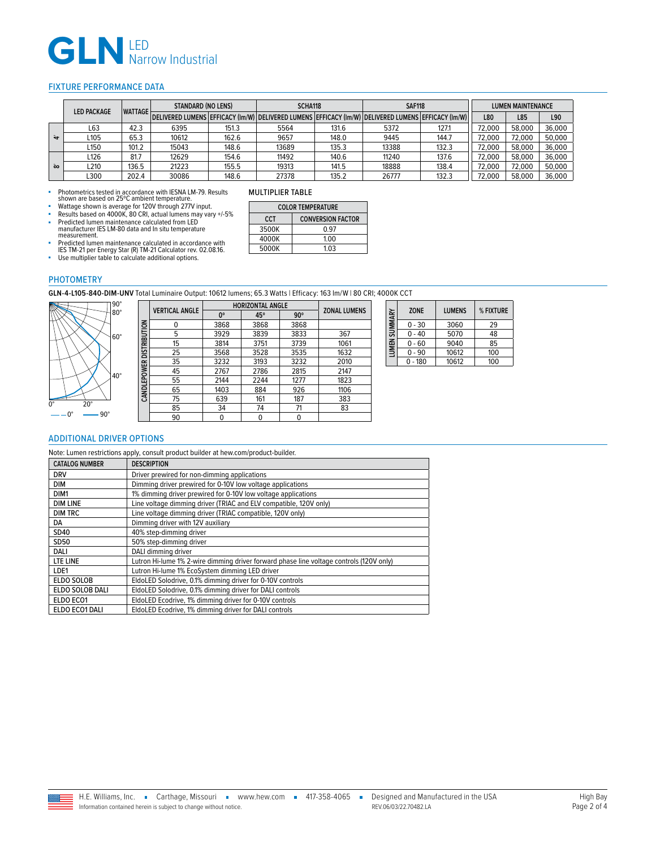# GLN LED<br>Narrow Industrial

# <span id="page-1-0"></span>FIXTURE PERFORMANCE DATA

|            | <b>LED PACKAGE</b><br><b>WATTAGE</b> | <b>STANDARD (NO LENS)</b> |       | SCHA118 |       | <b>SAF118</b>                                                                                                |       | <b>LUMEN MAINTENANCE</b> |        |        |        |
|------------|--------------------------------------|---------------------------|-------|---------|-------|--------------------------------------------------------------------------------------------------------------|-------|--------------------------|--------|--------|--------|
|            |                                      |                           |       |         |       | DELIVERED LUMENS   EFFICACY (Im/W)   DELIVERED LUMENS   EFFICACY (Im/W)   DELIVERED LUMENS   EFFICACY (Im/W) |       | L80                      | L85    | L90    |        |
|            | L63                                  | 42.3                      | 6395  | 151.3   | 5564  | 131.6                                                                                                        | 5372  | 127.1                    | 72.000 | 58,000 | 36.000 |
| $\ddot{a}$ | L105                                 | 65.3                      | 10612 | 162.6   | 9657  | 148.0                                                                                                        | 9445  | 144.7                    | 72,000 | 72,000 | 50,000 |
|            | L <sub>150</sub>                     | 101.2                     | 15043 | 148.6   | 13689 | 135.3                                                                                                        | 13388 | 132.3                    | 72,000 | 58,000 | 36,000 |
|            | L126                                 | 81.7                      | 12629 | 154.6   | 11492 | 140.6                                                                                                        | 11240 | 137.6                    | 72.000 | 58,000 | 36,000 |
| $\infty$   | L210                                 | 136.5                     | 21223 | 155.5   | 19313 | 141.5                                                                                                        | 18888 | 138.4                    | 72.000 | 72,000 | 50,000 |
|            | .300                                 | 202.4                     | 30086 | 148.6   | 27378 | 135.2                                                                                                        | 26777 | 132.3                    | 72,000 | 58,000 | 36,000 |

■ Photometrics tested in accordance with IESNA LM-79. Results<br>shown are based on 25℃ ambient temperature.<br>■ Wattage shown is average for 120V through 277V input.

- **Results based on 4000K, 80 CRI, actual lumens may vary**  $+/-5\%$ **<br>• Predicted lumen maintenance calculated from LED**
- Predicted lumen maintenance calculated from LED manufacturer IES LM-80 data and In situ temperature measurement.
- 
- Predicted lumen maintenance calculated in accordance with IES TM-21 per Energy Star (R) TM-21 Calculator rev. 02.08.16. Use multiplier table to calculate additional options.

# MULTIPLIER TABLE

| <b>COLOR TEMPERATURE</b> |                          |  |  |
|--------------------------|--------------------------|--|--|
| <b>CCT</b>               | <b>CONVERSION FACTOR</b> |  |  |
| 3500K                    | <u>በ 97</u>              |  |  |
| 4000K                    | 1.00                     |  |  |
| 5000K                    | 103                      |  |  |

PHOTOMETRY

**GLN-4-L105-840-DIM-UNV** Total Luminaire Output: 10612 lumens; 65.3 Watts | Efficacy: 163 lm/W | 80 CRI; 4000K CCT



|                          | <b>VERTICAL ANGLE</b> | <b>HORIZONTAL ANGLE</b> | <b>ZONAL LUMENS</b> |            |      |
|--------------------------|-----------------------|-------------------------|---------------------|------------|------|
|                          |                       | $0^{\circ}$             | 45°                 | $90^\circ$ |      |
| CANDLEPOWER DISTRIBUTION | 0                     | 3868                    | 3868                | 3868       |      |
|                          | 5                     | 3929                    | 3839                | 3833       | 367  |
|                          | 15                    | 3814                    | 3751                | 3739       | 1061 |
|                          | 25                    | 3568                    | 3528                | 3535       | 1632 |
|                          | 35                    | 3232                    | 3193                | 3232       | 2010 |
|                          | 45                    | 2767                    | 2786                | 2815       | 2147 |
|                          | 55                    | 2144                    | 2244                | 1277       | 1823 |
|                          | 65                    | 1403                    | 884                 | 926        | 1106 |
|                          | 75                    | 639                     | 161                 | 187        | 383  |
|                          | 85                    | 34                      | 74                  | 71         | 83   |
|                          | 90                    | 0                       | 0                   |            |      |

| LUMEN SUMMARY | <b>ZONE</b> | <b>LUMENS</b> | % FIXTURE |
|---------------|-------------|---------------|-----------|
|               | $0 - 30$    | 3060          | 29        |
|               | 0 - 40      | 5070          | 48        |
|               | $0 - 60$    | 9040          | 85        |
|               | 0 - 90      | 10612         | 100       |
|               | - 180       | 10612         | 100       |

# <span id="page-1-1"></span>ADDITIONAL DRIVER OPTIONS

Note: Lumen restrictions apply, consult product builder at hew.com/product-builder.

| <b>CATALOG NUMBER</b>                                                    | <b>DESCRIPTION</b>                                                                      |
|--------------------------------------------------------------------------|-----------------------------------------------------------------------------------------|
| <b>DRV</b><br>Driver prewired for non-dimming applications               |                                                                                         |
| Dimming driver prewired for 0-10V low voltage applications<br><b>DIM</b> |                                                                                         |
| DIM1                                                                     | 1% dimming driver prewired for 0-10V low voltage applications                           |
| <b>DIM LINE</b>                                                          | Line voltage dimming driver (TRIAC and ELV compatible, 120V only)                       |
| <b>DIM TRC</b>                                                           | Line voltage dimming driver (TRIAC compatible, 120V only)                               |
| DA                                                                       | Dimming driver with 12V auxiliary                                                       |
| SD40                                                                     | 40% step-dimming driver                                                                 |
| SD50                                                                     | 50% step-dimming driver                                                                 |
| DALI                                                                     | DALI dimming driver                                                                     |
| <b>LTE LINE</b>                                                          | Lutron Hi-lume 1% 2-wire dimming driver forward phase line voltage controls (120V only) |
| LDE1                                                                     | Lutron Hi-lume 1% EcoSystem dimming LED driver                                          |
| <b>ELDO SOLOB</b>                                                        | EldoLED Solodrive, 0.1% dimming driver for 0-10V controls                               |
| ELDO SOLOB DALI                                                          | EldoLED Solodrive, 0.1% dimming driver for DALI controls                                |
| ELDO ECO1                                                                | EldoLED Ecodrive, 1% dimming driver for 0-10V controls                                  |
| ELDO ECO1 DALI                                                           | EldoLED Ecodrive, 1% dimming driver for DALI controls                                   |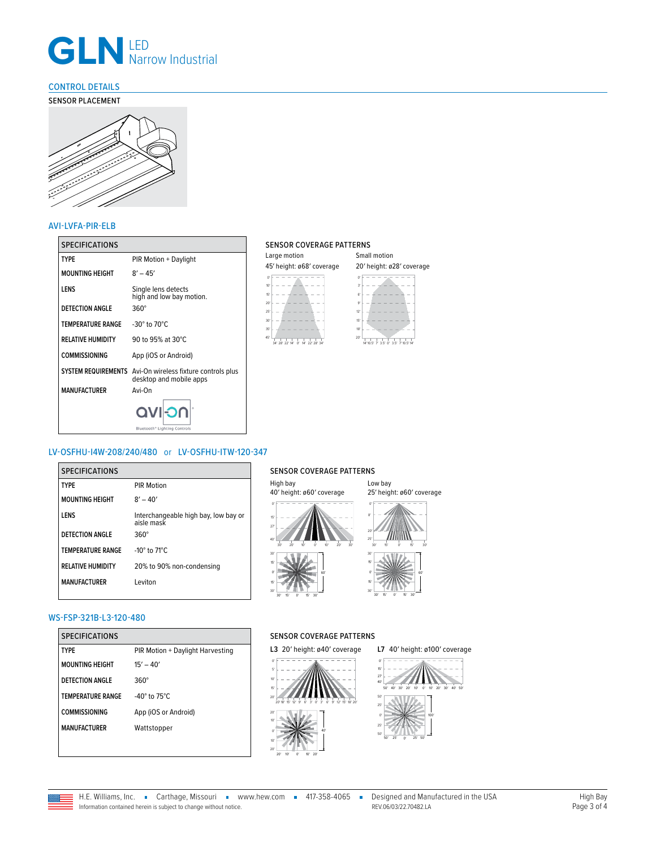

# <span id="page-2-0"></span>CONTROL DETAILS

# SENSOR PLACEMENT



### AVI-LVFA-PIR-ELB

| <b>SPECIFICATIONS</b>    |                                                                                      | <b>SENSOR CO</b>                 |
|--------------------------|--------------------------------------------------------------------------------------|----------------------------------|
| <b>TYPE</b>              | PIR Motion + Daylight                                                                | Large motion                     |
| <b>MOUNTING HEIGHT</b>   | $8' - 45'$                                                                           | 45' height: ø<br>$\Omega'$       |
| LENS                     | Single lens detects<br>high and low bay motion.                                      | 10'<br>15'                       |
| <b>DETECTION ANGLE</b>   | $360^\circ$                                                                          | 20 <sup>o</sup><br>25'           |
| <b>TEMPERATURE RANGE</b> | $-30^\circ$ to $70^\circ$ C                                                          | 30'<br>35'                       |
| <b>RELATIVE HUMIDITY</b> | 90 to 95% at 30°C                                                                    | 45'<br>34' 28' 22' 14'<br>$0'$ 1 |
| <b>COMMISSIONING</b>     | App (iOS or Android)                                                                 |                                  |
|                          | SYSTEM REQUIREMENTS Avi-On wireless fixture controls plus<br>desktop and mobile apps |                                  |
| <b>MANUFACTURER</b>      | Avi-On                                                                               |                                  |
|                          | <b>OC-IVO</b><br>Bluetooth <sup>®</sup> Lighting Controls                            |                                  |

### SENSOR COVERAGE PATTERNS

| Large motion                                                                                            | Small motion                                                                                                     |
|---------------------------------------------------------------------------------------------------------|------------------------------------------------------------------------------------------------------------------|
| 45' height: ø68' coverage                                                                               | 20' height: ø28' coverage                                                                                        |
| 10 <sup>10</sup><br>15'<br>20<br>25'<br>30'<br>35'<br>45'<br>0'<br>34" 28" 22" 14"<br>22' 28' 34<br>141 | ÷,<br>61<br>q.<br>12'<br>15'<br>18'<br>20'<br>$\Omega'$<br>3.5' 7' 10.5' 14<br>35'<br>$\mathcal{P}$<br>14' 10 5' |

# LV-OSFHU-I4W-208/240/480 or LV-OSFHU-ITW-120-347

| <b>SPECIFICATIONS</b>    |                                                    | <b>SENSOI</b>            |
|--------------------------|----------------------------------------------------|--------------------------|
| <b>TYPE</b>              | <b>PIR Motion</b>                                  | High bay<br>40' heigh    |
| <b>MOUNTING HEIGHT</b>   | $8' - 40'$                                         |                          |
| LENS                     | Interchangeable high bay, low bay or<br>aisle mask | 151<br>27'               |
| <b>DETECTION ANGLE</b>   | $360^\circ$                                        | 40'                      |
| <b>TEMPERATURE RANGE</b> | -10 $\degree$ to 71 $\degree$ C                    | 20'<br>30'               |
| <b>RELATIVE HUMIDITY</b> | 20% to 90% non-condensing                          | 15'<br>$\Omega'$         |
| <b>MANUFACTURER</b>      | Leviton                                            | 15'<br>30'<br>15'<br>20' |

## SENSOR COVERAGE PATTERNS



## WS-FSP-321B-L3-120-480

Ξ

| <b>SPECIFICATIONS</b>    |                                    |
|--------------------------|------------------------------------|
| <b>TYPF</b>              | PIR Motion + Daylight Harvesting   |
| <b>MOUNTING HEIGHT</b>   | $15' - 40'$                        |
| DETECTION ANGLE          | $360^\circ$                        |
| <b>TEMPERATURE RANGE</b> | -40 $^{\circ}$ to 75 $^{\circ}$ C. |
| <b>COMMISSIONING</b>     | App (iOS or Android)               |
| <b>MANUFACTURFR</b>      | Wattstopper                        |
|                          |                                    |

# SENSOR COVERAGE PATTERNS



### **L7** 40′ height: ø100′ coverage



REV.06/03/22.70482.LA